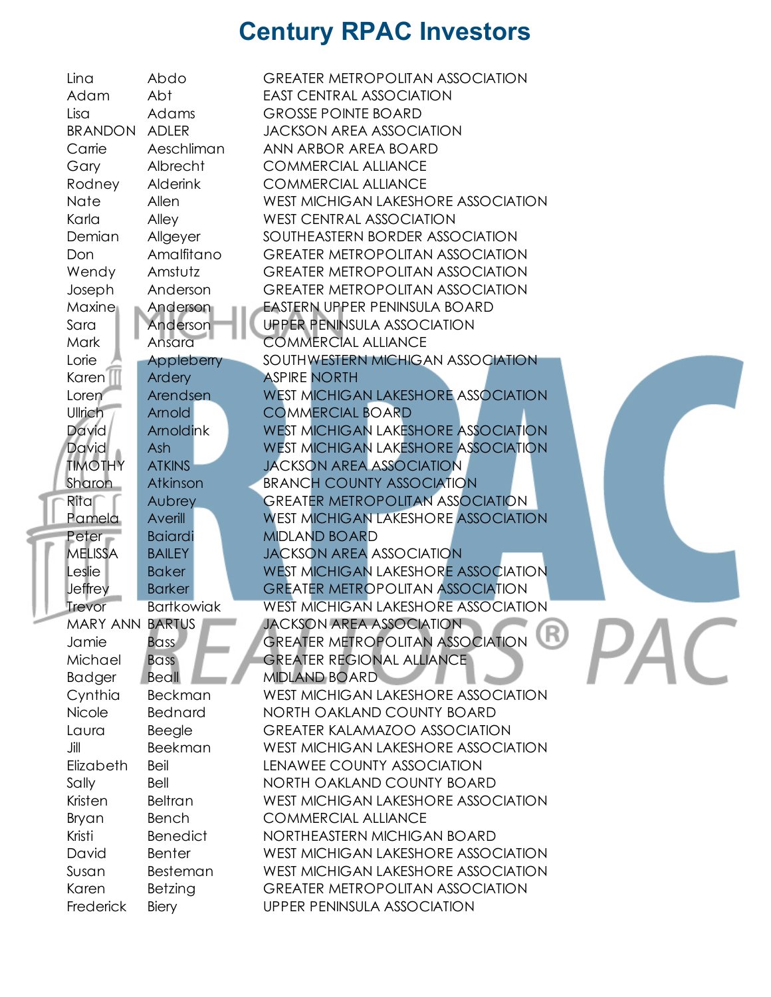| Lina                   | Abdo                             | <b>GREATER METROPOLITAN ASSOCIATION</b>                            |
|------------------------|----------------------------------|--------------------------------------------------------------------|
| Adam                   | Abt                              | <b>EAST CENTRAL ASSOCIATION</b>                                    |
| Lisa                   | Adams                            | <b>GROSSE POINTE BOARD</b>                                         |
| <b>BRANDON</b>         | <b>ADLER</b>                     | <b>JACKSON AREA ASSOCIATION</b>                                    |
| Carrie                 | Aeschliman                       | ANN ARBOR AREA BOARD                                               |
| Gary                   | Albrecht                         | <b>COMMERCIAL ALLIANCE</b>                                         |
| Rodney                 | <b>Alderink</b>                  | <b>COMMERCIAL ALLIANCE</b>                                         |
| Nate                   | Allen                            | WEST MICHIGAN LAKESHORE ASSOCIATION                                |
| Karla                  | Alley                            | <b>WEST CENTRAL ASSOCIATION</b>                                    |
| Demian                 | Allgeyer                         | SOUTHEASTERN BORDER ASSOCIATION                                    |
| Don                    | Amalfitano                       | <b>GREATER METROPOLITAN ASSOCIATION</b>                            |
| Wendy                  | Amstutz                          | <b>GREATER METROPOLITAN ASSOCIATION</b>                            |
| Joseph                 | Anderson                         | <b>GREATER METROPOLITAN ASSOCIATION</b>                            |
| Maxine                 | Anderson                         | <b>EASTERN UPPER PENINSULA BOARD</b>                               |
| Sara                   | Anderson                         | <b>UPPER PENINSULA ASSOCIATION</b>                                 |
| <b>Mark</b>            | Ansara                           | <b>COMMERCIAL ALLIANCE</b>                                         |
| Lorie                  | Appleberry                       | SOUTHWESTERN MICHIGAN ASSOCIATION                                  |
| Karen <sup>1</sup>     | Ardery                           | <b>ASPIRE NORTH</b>                                                |
| Loren                  | Arendsen                         | <b>WEST MICHIGAN LAKESHORE ASSOCIATION</b>                         |
| Ullrich                | Arnold                           | <b>COMMERCIAL BOARD</b>                                            |
| David                  | Arnoldink                        | <b>WEST MICHIGAN LAKESHORE ASSOCIATION</b>                         |
| David                  | Ash                              | <b>WEST MICHIGAN LAKESHORE ASSOCIATION</b>                         |
| <b>TIMOTHY</b>         | <b>ATKINS</b>                    | <b>JACKSON AREA ASSOCIATION</b>                                    |
| <b>Sharon</b>          | Atkinson                         | <b>BRANCH COUNTY ASSOCIATION</b>                                   |
| Ritar                  | Aubrey                           | <b>GREATER METROPOLITAN ASSOCIATION</b>                            |
| Pamela                 | Averill                          | <b>WEST MICHIGAN LAKESHORE ASSOCIATION</b>                         |
| Peter                  | <b>Baiardi</b>                   | <b>MIDLAND BOARD</b>                                               |
| <b>MELISSA</b>         | <b>BAILEY</b>                    | <b>JACKSON AREA ASSOCIATION</b>                                    |
| Leslie                 | <b>Baker</b>                     | <b>WEST MICHIGAN LAKESHORE ASSOCIATION</b>                         |
| <b>Jeffrey</b>         | <b>Barker</b>                    | <b>GREATER METROPOLITAN ASSOCIATION</b>                            |
| Trevor                 | <b>Bartkowiak</b>                | <b>WEST MICHIGAN LAKESHORE ASSOCIATION</b>                         |
| <b>MARY ANN BARTUS</b> |                                  | <b>JACKSON AREA ASSOCIATION</b>                                    |
| Jamie                  |                                  | GREATER METROPOLITAN ASSOCIATION                                   |
| Michael                | <b>Bass</b>                      | <b>GREATER REGIONAL ALLIANCE</b>                                   |
|                        | <b>Bass</b><br>Beall             | <b>MIDLAND BOARD</b>                                               |
| <b>Badger</b>          |                                  | <b>WEST MICHIGAN LAKESHORE ASSOCIATION</b>                         |
| Cynthia<br>Nicole      | <b>Beckman</b><br><b>Bednard</b> |                                                                    |
|                        |                                  | NORTH OAKLAND COUNTY BOARD<br><b>GREATER KALAMAZOO ASSOCIATION</b> |
| Laura                  | Beegle                           |                                                                    |
| Jill                   | <b>Beekman</b>                   | <b>WEST MICHIGAN LAKESHORE ASSOCIATION</b>                         |
| Elizabeth              | Beil                             | LENAWEE COUNTY ASSOCIATION                                         |
| Sally                  | Bell                             | NORTH OAKLAND COUNTY BOARD                                         |
| Kristen                | <b>Beltran</b>                   | <b>WEST MICHIGAN LAKESHORE ASSOCIATION</b>                         |
| Bryan                  | Bench                            | <b>COMMERCIAL ALLIANCE</b>                                         |
| Kristi                 | <b>Benedict</b>                  | NORTHEASTERN MICHIGAN BOARD                                        |
| David                  | <b>Benter</b>                    | <b>WEST MICHIGAN LAKESHORE ASSOCIATION</b>                         |
| Susan                  | Besteman                         | <b>WEST MICHIGAN LAKESHORE ASSOCIATION</b>                         |
| Karen                  | Betzing                          | <b>GREATER METROPOLITAN ASSOCIATION</b>                            |
| Frederick              | Biery                            | <b>UPPER PENINSULA ASSOCIATION</b>                                 |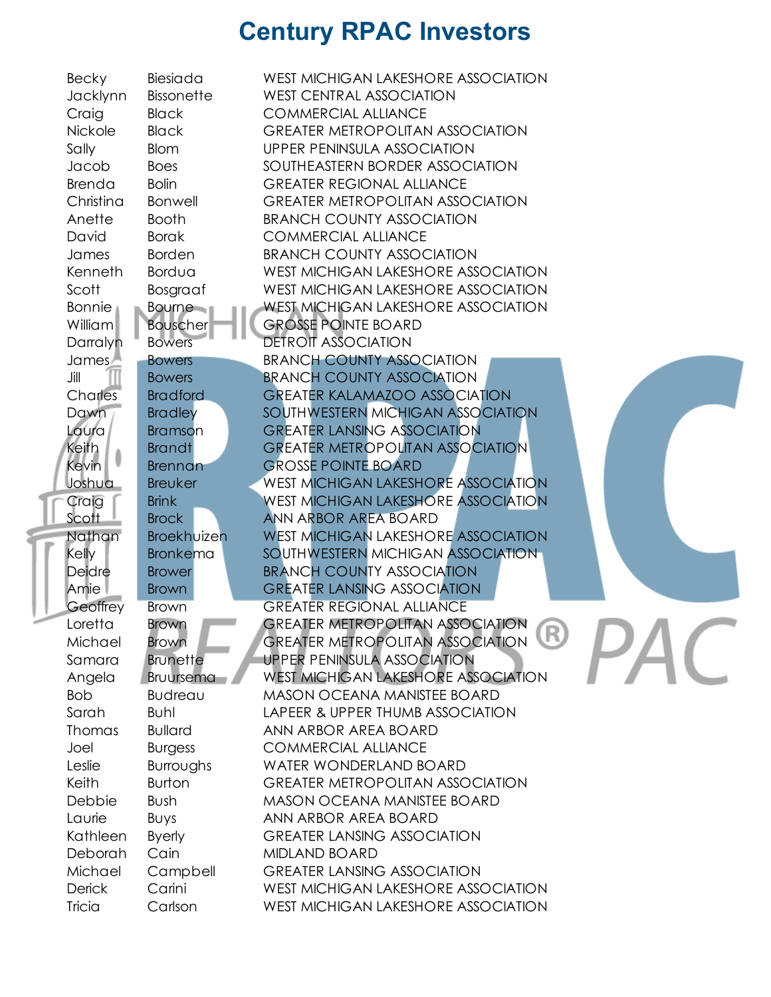| <b>Becky</b>  | Biesiada          | WEST MICHIGAN LAKESHORE ASSOCIATION        |
|---------------|-------------------|--------------------------------------------|
| Jacklynn      | <b>Bissonette</b> | <b>WEST CENTRAL ASSOCIATION</b>            |
| Craig         | <b>Black</b>      | <b>COMMERCIAL ALLIANCE</b>                 |
| Nickole       | <b>Black</b>      | <b>GREATER METROPOLITAN ASSOCIATION</b>    |
| Sally         | <b>Blom</b>       | UPPER PENINSULA ASSOCIATION                |
| Jacob         | <b>Boes</b>       | SOUTHEASTERN BORDER ASSOCIATION            |
| Brenda        | <b>Bolin</b>      | <b>GREATER REGIONAL ALLIANCE</b>           |
| Christina     | <b>Bonwell</b>    | <b>GREATER METROPOLITAN ASSOCIATION</b>    |
|               |                   |                                            |
| Anette        | <b>Booth</b>      | <b>BRANCH COUNTY ASSOCIATION</b>           |
| David         | <b>Borak</b>      | <b>COMMERCIAL ALLIANCE</b>                 |
| James         | <b>Borden</b>     | <b>BRANCH COUNTY ASSOCIATION</b>           |
| Kenneth       | Bordua            | WEST MICHIGAN LAKESHORE ASSOCIATION        |
| Scott         | Bosgraaf          | WEST MICHIGAN LAKESHORE ASSOCIATION        |
| <b>Bonnie</b> | <b>Bourne</b>     | <b>WEST MICHIGAN LAKESHORE ASSOCIATION</b> |
| William       | <b>Bouscher</b>   | <b>GROSSE POINTE BOARD</b>                 |
| Darralyn      | <b>Bowers</b>     | <b>DETROIT ASSOCIATION</b>                 |
| James/        | <b>Bowers</b>     | <b>BRANCH COUNTY ASSOCIATION</b>           |
| Jill          | <b>Bowers</b>     | <b>BRANCH COUNTY ASSOCIATION</b>           |
| Charles       | <b>Bradford</b>   | <b>GREATER KALAMAZOO ASSOCIATION</b>       |
| Dawn          | <b>Bradley</b>    | SOUTHWESTERN MICHIGAN ASSOCIATION          |
| Laura         | Bramson           | <b>GREATER LANSING ASSOCIATION</b>         |
| Keith         | <b>Brandt</b>     | <b>GREATER METROPOLITAN ASSOCIATION</b>    |
| Kevin         | <b>Brennan</b>    | <b>GROSSE POINTE BOARD</b>                 |
| Joshua        | <b>Breuker</b>    | <b>WEST MICHIGAN LAKESHORE ASSOCIATION</b> |
| Craig         | <b>Brink</b>      | <b>WEST MICHIGAN LAKESHORE ASSOCIATION</b> |
| Scott         | <b>Brock</b>      | <b>ANN ARBOR AREA BOARD</b>                |
| Nathan        | Broekhuizen       | <b>WEST MICHIGAN LAKESHORE ASSOCIATION</b> |
|               |                   |                                            |
| Kelly         | <b>Bronkema</b>   | SOUTHWESTERN MICHIGAN ASSOCIATION          |
| Deidre        | <b>Brower</b>     | <b>BRANCH COUNTY ASSOCIATION</b>           |
| Amie          | <b>Brown</b>      | <b>GREATER LANSING ASSOCIATION</b>         |
| Geoffrey      | <b>Brown</b>      | <b>GREATER REGIONAL ALLIANCE</b>           |
| Loretta       | <b>Brown</b>      | <b>GREATER METROPOLITAN ASSOCIATION</b>    |
| Michael       | <b>Brown</b>      | GREATER METROPOLITAN ASSOCIATION           |
| Samara        | <b>Brunette</b>   | <b>UPPER PENINSULA ASSOCIATION</b>         |
| Angela        | <b>Bruursema</b>  | WEST MICHIGAN LAKESHORE ASSOCIATION        |
| <b>Bob</b>    | Budreau           | <b>MASON OCEANA MANISTEE BOARD</b>         |
| Sarah         | Buhl              | LAPEER & UPPER THUMB ASSOCIATION           |
| Thomas        | <b>Bullard</b>    | ANN ARBOR AREA BOARD                       |
| Joel          | <b>Burgess</b>    | <b>COMMERCIAL ALLIANCE</b>                 |
| Leslie        | Burroughs         | <b>WATER WONDERLAND BOARD</b>              |
| Keith         | <b>Burton</b>     | <b>GREATER METROPOLITAN ASSOCIATION</b>    |
| Debbie        | Bush              | <b>MASON OCEANA MANISTEE BOARD</b>         |
| Laurie        | <b>BUys</b>       | ANN ARBOR AREA BOARD                       |
| Kathleen      | <b>Byerly</b>     | <b>GREATER LANSING ASSOCIATION</b>         |
| Deborah       | Cain              | <b>MIDLAND BOARD</b>                       |
| Michael       | Campbell          | <b>GREATER LANSING ASSOCIATION</b>         |
| <b>Derick</b> | Carini            | WEST MICHIGAN LAKESHORE ASSOCIATION        |
| Tricia        | Carlson           | WEST MICHIGAN LAKESHORE ASSOCIATION        |
|               |                   |                                            |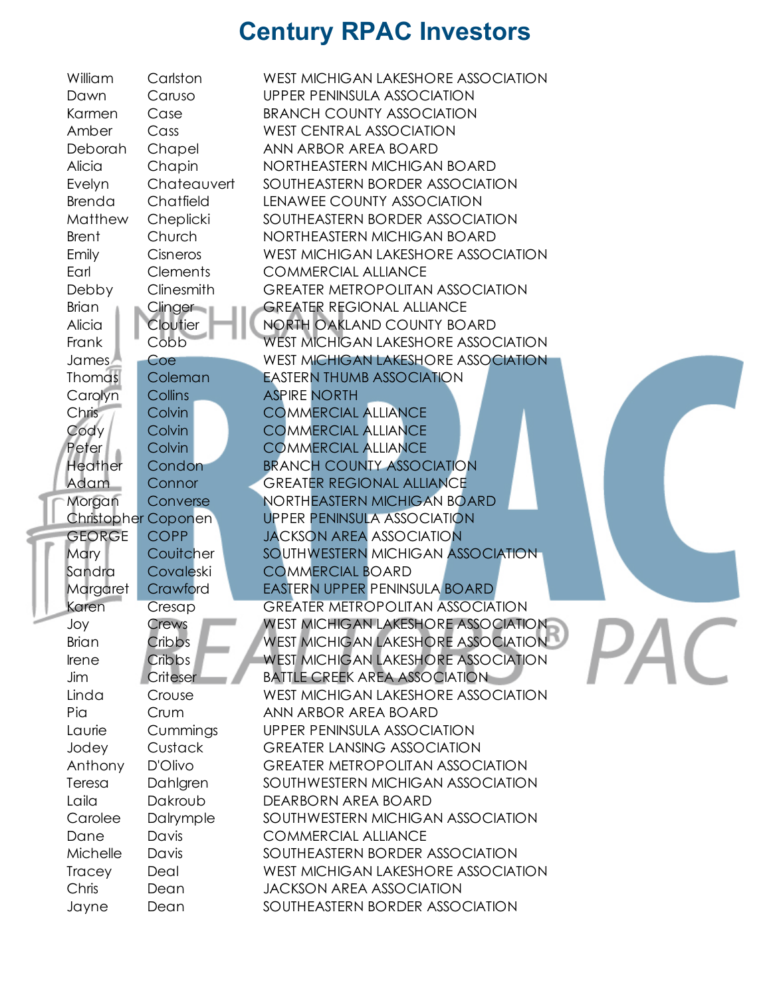| William        | Carlston            | WEST MICHIGAN LAKESHORE ASSOCIATION        |
|----------------|---------------------|--------------------------------------------|
| Dawn           | Caruso              | UPPER PENINSULA ASSOCIATION                |
| Karmen         | Case                | <b>BRANCH COUNTY ASSOCIATION</b>           |
| Amber          | Cass                | <b>WEST CENTRAL ASSOCIATION</b>            |
| Deborah        | Chapel              | ANN ARBOR AREA BOARD                       |
| Alicia         | Chapin              | NORTHEASTERN MICHIGAN BOARD                |
| Evelyn         | Chateauvert         | SOUTHEASTERN BORDER ASSOCIATION            |
| Brenda         | Chatfield           | LENAWEE COUNTY ASSOCIATION                 |
| Matthew        | Cheplicki           | SOUTHEASTERN BORDER ASSOCIATION            |
| <b>Brent</b>   | Church              | NORTHEASTERN MICHIGAN BOARD                |
| Emily          | Cisneros            | WEST MICHIGAN LAKESHORE ASSOCIATION        |
| Earl           | <b>Clements</b>     | <b>COMMERCIAL ALLIANCE</b>                 |
| Debby          | Clinesmith          | <b>GREATER METROPOLITAN ASSOCIATION</b>    |
| <b>Brian</b>   | Clinger             | <b>GREATER REGIONAL ALLIANCE</b>           |
| Alicia         | Cloutier            | NORTH OAKLAND COUNTY BOARD                 |
| Frank          | Cobb                | <b>WEST MICHIGAN LAKESHORE ASSOCIATION</b> |
| James          | Coe                 | <b>WEST MICHIGAN LAKESHORE ASSOCIATION</b> |
| <b>Thomas</b>  | Coleman             | <b>EASTERN THUMB ASSOCIATION</b>           |
| Carolyn        | Collins             | <b>ASPIRE NORTH</b>                        |
| Chris          | Colvin              | <b>COMMERCIAL ALLIANCE</b>                 |
| Cody           | <b>Colvin</b>       | <b>COMMERCIAL ALLIANCE</b>                 |
| Peter          | Colvin              | <b>COMMERCIAL ALLIANCE</b>                 |
| <b>Heather</b> | Condon              | <b>BRANCH COUNTY ASSOCIATION</b>           |
| Adam           | Connor              | <b>GREATER REGIONAL ALLIANCE</b>           |
| Morgan         | Converse            | NORTHEASTERN MICHIGAN BOARD                |
|                | Christopher Coponen | <b>UPPER PENINSULA ASSOCIATION</b>         |
| <b>GEORGE</b>  | <b>COPP</b>         | <b>JACKSON AREA ASSOCIATION</b>            |
| <b>Mary</b>    | Couitcher           | SOUTHWESTERN MICHIGAN ASSOCIATION          |
| Sandra         | Covaleski           | <b>COMMERCIAL BOARD</b>                    |
| Margaret       | Crawford            | EASTERN UPPER PENINSULA BOARD              |
| Karen          | Cresap              | <b>GREATER METROPOLITAN ASSOCIATION</b>    |
| Joy            | Crews               | <b>WEST MICHIGAN LAKESHORE ASSOCIATION</b> |
| <b>Brian</b>   | Cribbs              | WEST MICHIGAN LAKESHORE ASSOCIATION        |
| Irene          | Cribbs              | <b>WEST MICHIGAN LAKESHORE ASSOCIATION</b> |
| Jim            | Criteser            | <b>BATTLE CREEK AREA ASSOCIATION</b>       |
| Linda          | Crouse              | <b>WEST MICHIGAN LAKESHORE ASSOCIATION</b> |
| Pia            | Crum                | ANN ARBOR AREA BOARD                       |
| Laurie         | Cummings            | UPPER PENINSULA ASSOCIATION                |
| Jodey          | Custack             | <b>GREATER LANSING ASSOCIATION</b>         |
| Anthony        | D'Olivo             | <b>GREATER METROPOLITAN ASSOCIATION</b>    |
| Teresa         | Dahlgren            | SOUTHWESTERN MICHIGAN ASSOCIATION          |
| Laila          | Dakroub             | DEARBORN AREA BOARD                        |
| Carolee        | Dalrymple           | SOUTHWESTERN MICHIGAN ASSOCIATION          |
| Dane           | Davis               | <b>COMMERCIAL ALLIANCE</b>                 |
| Michelle       | Davis               | SOUTHEASTERN BORDER ASSOCIATION            |
| <b>Tracey</b>  | Deal                | WEST MICHIGAN LAKESHORE ASSOCIATION        |
| Chris          | Dean                | <b>JACKSON AREA ASSOCIATION</b>            |
| Jayne          | Dean                | SOUTHEASTERN BORDER ASSOCIATION            |
|                |                     |                                            |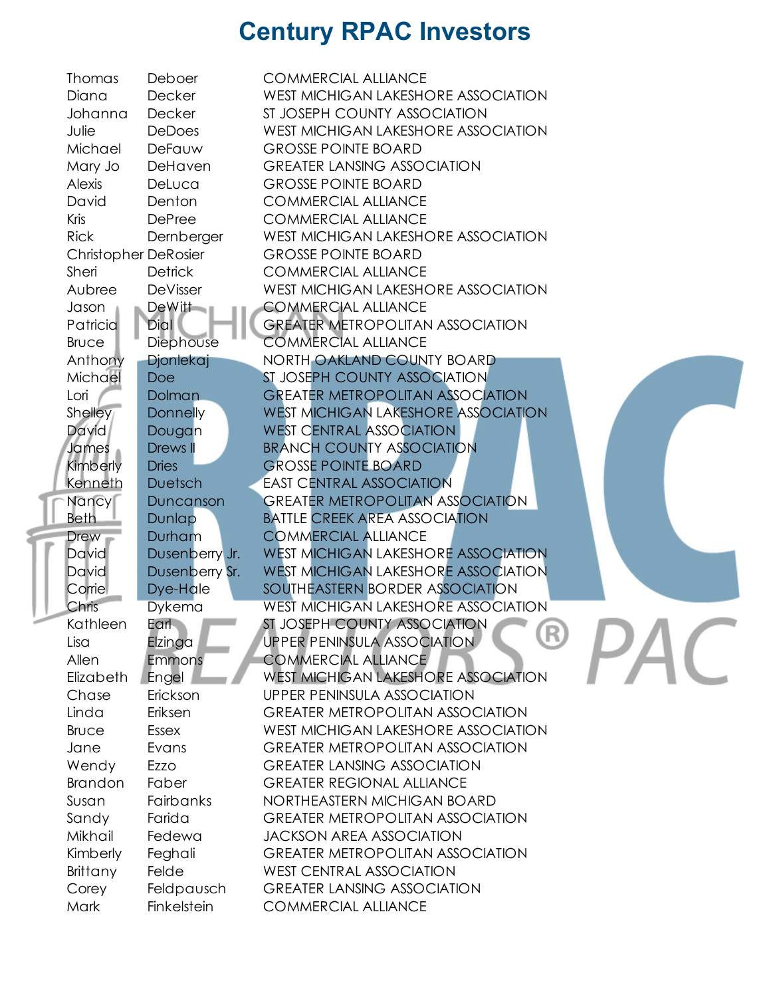| Thomas                      | Deboer           | <b>COMMERCIAL ALLIANCE</b>                                                     |
|-----------------------------|------------------|--------------------------------------------------------------------------------|
| Diana                       | Decker           | WEST MICHIGAN LAKESHORE ASSOCIATION                                            |
| Johanna                     | <b>Decker</b>    | ST JOSEPH COUNTY ASSOCIATION                                                   |
| Julie                       | <b>DeDoes</b>    | WEST MICHIGAN LAKESHORE ASSOCIATION                                            |
| Michael                     | DeFauw           | <b>GROSSE POINTE BOARD</b>                                                     |
| Mary Jo                     | DeHaven          | <b>GREATER LANSING ASSOCIATION</b>                                             |
| Alexis                      | DeLuca           | <b>GROSSE POINTE BOARD</b>                                                     |
| David                       | Denton           | <b>COMMERCIAL ALLIANCE</b>                                                     |
| Kris                        | <b>DePree</b>    | <b>COMMERCIAL ALLIANCE</b>                                                     |
| <b>Rick</b>                 | Dernberger       | WEST MICHIGAN LAKESHORE ASSOCIATION                                            |
| <b>Christopher DeRosier</b> |                  | <b>GROSSE POINTE BOARD</b>                                                     |
| Sheri                       | <b>Detrick</b>   | <b>COMMERCIAL ALLIANCE</b>                                                     |
| Aubree                      | DeVisser         | WEST MICHIGAN LAKESHORE ASSOCIATION                                            |
| Jason                       | DeWitt           | <b>COMMERCIAL ALLIANCE</b>                                                     |
| Patricia                    | Dial             | <b>GREATER METROPOLITAN ASSOCIATION</b>                                        |
| <b>Bruce</b>                | Diephouse        | <b>COMMERCIAL ALLIANCE</b>                                                     |
| Anthony                     | <b>Djonlekaj</b> | NORTH OAKLAND COUNTY BOARD                                                     |
| Michael                     | <b>Doe</b>       | ST JOSEPH COUNTY ASSOCIATION                                                   |
| Lori                        | <b>Dolman</b>    | <b>GREATER METROPOLITAN ASSOCIATION</b>                                        |
| Shelley                     | <b>Donnelly</b>  | <b>WEST MICHIGAN LAKESHORE ASSOCIATION</b>                                     |
| <b>David</b>                | Dougan           | <b>WEST CENTRAL ASSOCIATION</b>                                                |
| James                       | Drews II         | <b>BRANCH COUNTY ASSOCIATION</b>                                               |
| Kimberly                    | <b>Dries</b>     | <b>GROSSE POINTE BOARD</b>                                                     |
| Kenneth                     | <b>Duetsch</b>   | <b>EAST CENTRAL ASSOCIATION</b>                                                |
| Nancy                       | Duncanson        | <b>GREATER METROPOLITAN ASSOCIATION</b>                                        |
| <b>Beth</b>                 | Dunlap           | <b>BATTLE CREEK AREA ASSOCIATION</b>                                           |
| <b>Drew</b>                 | Durham           | <b>COMMERCIAL ALLIANCE</b>                                                     |
| <b>David</b>                | Dusenberry Jr.   | <b>WEST MICHIGAN LAKESHORE ASSOCIATION</b>                                     |
| <b>David</b>                | Dusenberry Sr.   | WEST MICHIGAN LAKESHORE ASSOCIATION                                            |
| Corrie                      | Dye-Hale         | SOUTHEASTERN BORDER ASSOCIATION                                                |
| Chris                       | <b>Dykema</b>    | <b>WEST MICHIGAN LAKESHORE ASSOCIATION</b>                                     |
| Kathleen                    | Earl             | ST JOSEPH COUNTY ASSOCIATION<br>LITU,                                          |
| Lisa                        | Elzinga          | <b>UPPER PENINSULA ASSOCIATION</b>                                             |
| Allen                       | <b>Emmons</b>    | <b>COMMERCIAL ALLIANCE</b>                                                     |
| Elizabeth                   | Engel            | <b>WEST MICHIGAN LAKESHORE ASSOCIATION</b>                                     |
| Chase                       | Erickson         | <b>UPPER PENINSULA ASSOCIATION</b>                                             |
| Linda<br><b>Bruce</b>       | Eriksen<br>Essex | <b>GREATER METROPOLITAN ASSOCIATION</b><br>WEST MICHIGAN LAKESHORE ASSOCIATION |
| Jane                        | Evans            | <b>GREATER METROPOLITAN ASSOCIATION</b>                                        |
| Wendy                       | Ezzo             | <b>GREATER LANSING ASSOCIATION</b>                                             |
| <b>Brandon</b>              | Faber            | <b>GREATER REGIONAL ALLIANCE</b>                                               |
| Susan                       | Fairbanks        | NORTHEASTERN MICHIGAN BOARD                                                    |
| Sandy                       | Farida           | <b>GREATER METROPOLITAN ASSOCIATION</b>                                        |
| Mikhail                     | Fedewa           | <b>JACKSON AREA ASSOCIATION</b>                                                |
| Kimberly                    | Feghali          | <b>GREATER METROPOLITAN ASSOCIATION</b>                                        |
| Brittany                    | Felde            | <b>WEST CENTRAL ASSOCIATION</b>                                                |
| Corey                       | Feldpausch       | <b>GREATER LANSING ASSOCIATION</b>                                             |
| Mark                        | Finkelstein      | <b>COMMERCIAL ALLIANCE</b>                                                     |
|                             |                  |                                                                                |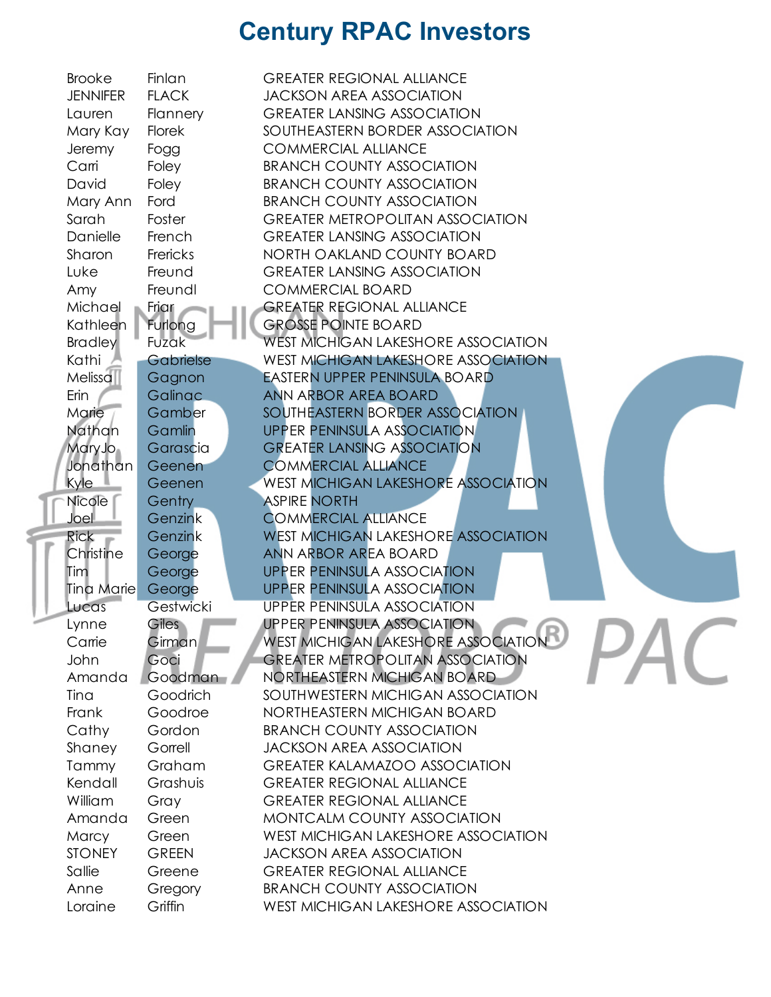| <b>Brooke</b>   | Finlan         | <b>GREATER REGIONAL ALLIANCE</b>           |
|-----------------|----------------|--------------------------------------------|
| <b>JENNIFER</b> | <b>FLACK</b>   | <b>JACKSON AREA ASSOCIATION</b>            |
| Lauren          | Flannery       | <b>GREATER LANSING ASSOCIATION</b>         |
| Mary Kay        | Florek         | SOUTHEASTERN BORDER ASSOCIATION            |
| Jeremy          | Fogg           | <b>COMMERCIAL ALLIANCE</b>                 |
| Carri           | Foley          | <b>BRANCH COUNTY ASSOCIATION</b>           |
| David           | Foley          | <b>BRANCH COUNTY ASSOCIATION</b>           |
| Mary Ann        | Ford           | <b>BRANCH COUNTY ASSOCIATION</b>           |
| Sarah           | Foster         | <b>GREATER METROPOLITAN ASSOCIATION</b>    |
| Danielle        | French         | <b>GREATER LANSING ASSOCIATION</b>         |
| Sharon          | Frericks       | NORTH OAKLAND COUNTY BOARD                 |
| Luke            | Freund         | <b>GREATER LANSING ASSOCIATION</b>         |
| Amy             | Freundl        | <b>COMMERCIAL BOARD</b>                    |
| Michael         | Friar          | <b>GREATER REGIONAL ALLIANCE</b>           |
| Kathleen        | Furlong        | <b>GROSSE POINTE BOARD</b>                 |
| <b>Bradley</b>  | Fuzak          | <b>WEST MICHIGAN LAKESHORE ASSOCIATION</b> |
| Kathi           | Gabrielse      | <b>WEST MICHIGAN LAKESHORE ASSOCIATION</b> |
| Melissa         | Gagnon         | <b>EASTERN UPPER PENINSULA BOARD</b>       |
| Erin            | <b>Galinac</b> | ANN ARBOR AREA BOARD                       |
| Marie           | Gamber         | SOUTHEASTERN BORDER ASSOCIATION            |
| Nathan          | Gamlin         | <b>UPPER PENINSULA ASSOCIATION</b>         |
| Mary Jo         | Garascia       | <b>GREATER LANSING ASSOCIATION</b>         |
| Jonathan        | Geenen         | <b>COMMERCIAL ALLIANCE</b>                 |
| <b>Kyle</b>     | Geenen         | <b>WEST MICHIGAN LAKESHORE ASSOCIATION</b> |
| Nicole          | Gentry         | <b>ASPIRE NORTH</b>                        |
| Joel            | Genzink        | <b>COMMERCIAL ALLIANCE</b>                 |
| <b>Rick</b>     | Genzink        | <b>WEST MICHIGAN LAKESHORE ASSOCIATION</b> |
| Christine       | George         | ANN ARBOR AREA BOARD                       |
| <b>Tim</b>      | George         | <b>UPPER PENINSULA ASSOCIATION</b>         |
| Tina Marie      | George         | <b>UPPER PENINSULA ASSOCIATION</b>         |
| Lucas           | Gestwicki      | <b>UPPER PENINSULA ASSOCIATION</b>         |
| Lynne           | Giles          | <b>UPPER PENINSULA ASSOCIATION</b>         |
| Carrie          | <b>Girman</b>  | WEST MICHIGAN LAKESHORE ASSOCIATION        |
| John            | Goci           | <b>GREATER METROPOLITAN ASSOCIATION</b>    |
| Amanda          | Goodman        | NORTHEASTERN MICHIGAN BOARD                |
| Tina            | Goodrich       | SOUTHWESTERN MICHIGAN ASSOCIATION          |
| Frank           | Goodroe        | NORTHEASTERN MICHIGAN BOARD                |
| Cathy           | Gordon         | <b>BRANCH COUNTY ASSOCIATION</b>           |
| Shaney          | Gorrell        | <b>JACKSON AREA ASSOCIATION</b>            |
| Tammy           | Graham         | <b>GREATER KALAMAZOO ASSOCIATION</b>       |
| Kendall         | Grashuis       | <b>GREATER REGIONAL ALLIANCE</b>           |
| William         | Gray           | <b>GREATER REGIONAL ALLIANCE</b>           |
| Amanda          | Green          | MONTCALM COUNTY ASSOCIATION                |
| Marcy           | Green          | WEST MICHIGAN LAKESHORE ASSOCIATION        |
| <b>STONEY</b>   | <b>GREEN</b>   | <b>JACKSON AREA ASSOCIATION</b>            |
| Sallie          | Greene         | <b>GREATER REGIONAL ALLIANCE</b>           |
| Anne            | Gregory        | <b>BRANCH COUNTY ASSOCIATION</b>           |
| Loraine         | Griffin        | WEST MICHIGAN LAKESHORE ASSOCIATION        |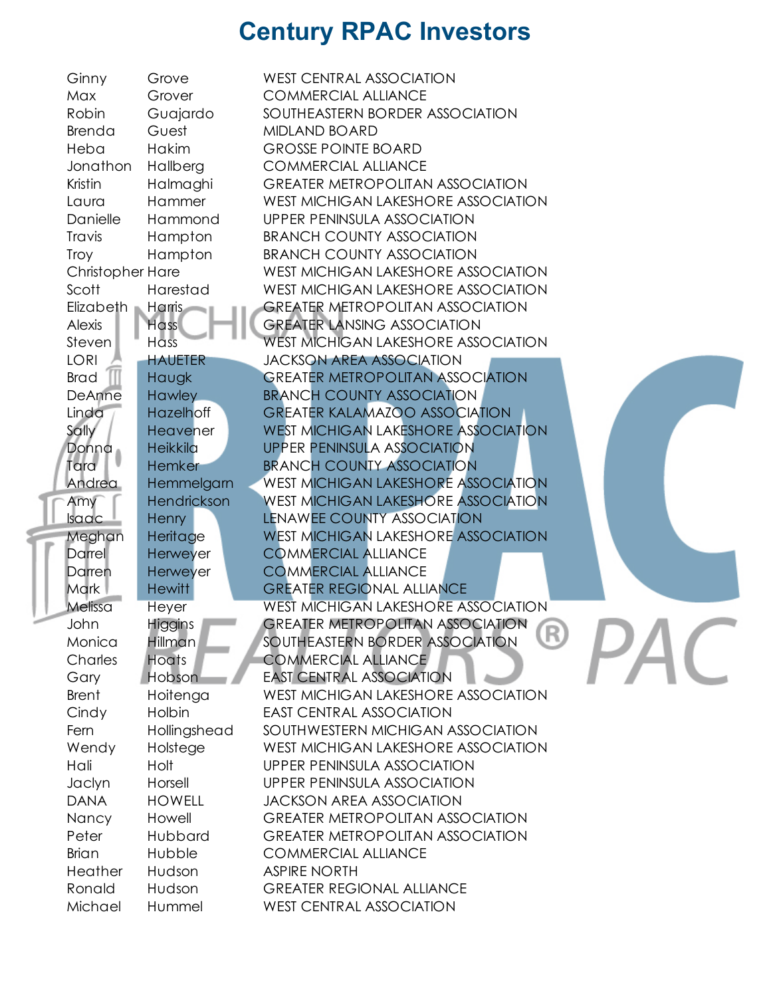| Ginny                   | Grove           | <b>WEST CENTRAL ASSOCIATION</b>            |  |
|-------------------------|-----------------|--------------------------------------------|--|
| Max                     | Grover          | <b>COMMERCIAL ALLIANCE</b>                 |  |
| Robin                   | Guajardo        | SOUTHEASTERN BORDER ASSOCIATION            |  |
| Brenda                  | Guest           | <b>MIDLAND BOARD</b>                       |  |
| Heba                    | <b>Hakim</b>    | <b>GROSSE POINTE BOARD</b>                 |  |
| Jonathon                | Hallberg        | <b>COMMERCIAL ALLIANCE</b>                 |  |
| Kristin                 | Halmaghi        | <b>GREATER METROPOLITAN ASSOCIATION</b>    |  |
| Laura                   | Hammer          | WEST MICHIGAN LAKESHORE ASSOCIATION        |  |
| Danielle                | Hammond         | <b>UPPER PENINSULA ASSOCIATION</b>         |  |
| Travis                  | Hampton         | <b>BRANCH COUNTY ASSOCIATION</b>           |  |
| Troy                    | Hampton         | <b>BRANCH COUNTY ASSOCIATION</b>           |  |
| <b>Christopher Hare</b> |                 | WEST MICHIGAN LAKESHORE ASSOCIATION        |  |
| Scott                   | Harestad        | WEST MICHIGAN LAKESHORE ASSOCIATION        |  |
| Elizabeth n             | <b>Harris</b>   | <b>GREATER METROPOLITAN ASSOCIATION</b>    |  |
| Alexis                  | <b>Hass</b>     | <b>GREATER LANSING ASSOCIATION</b>         |  |
| Steven                  | Hass            | WEST MICHIGAN LAKESHORE ASSOCIATION        |  |
| <b>LORI</b>             | <b>HAUETER</b>  | <b>JACKSON AREA ASSOCIATION</b>            |  |
| <b>Brad</b>             | Haugk           | <b>GREATER METROPOLITAN ASSOCIATION</b>    |  |
| DeAnne                  | <b>Hawley</b>   | <b>BRANCH COUNTY ASSOCIATION</b>           |  |
| Linda                   | Hazelhoff       | <b>GREATER KALAMAZOO ASSOCIATION</b>       |  |
| Sally                   | <b>Heavener</b> | <b>WEST MICHIGAN LAKESHORE ASSOCIATION</b> |  |
| Donna                   | Heikkila        | <b>UPPER PENINSULA ASSOCIATION</b>         |  |
| Tara                    | Hemker          | <b>BRANCH COUNTY ASSOCIATION</b>           |  |
| Andrea                  | Hemmelgarn      | WEST MICHIGAN LAKESHORE ASSOCIATION        |  |
| Amy                     | Hendrickson     | <b>WEST MICHIGAN LAKESHORE ASSOCIATION</b> |  |
| <b>Isaac</b>            | Henry           | <b>LENAWEE COUNTY ASSOCIATION</b>          |  |
| Meghan                  | Heritage        | <b>WEST MICHIGAN LAKESHORE ASSOCIATION</b> |  |
| Darrel                  | Herweyer        | <b>COMMERCIAL ALLIANCE</b>                 |  |
| Darren                  | Herweyer        | <b>COMMERCIAL ALLIANCE</b>                 |  |
| <b>Mark</b>             | <b>Hewitt</b>   | <b>GREATER REGIONAL ALLIANCE</b>           |  |
| Melissa                 |                 | <b>WEST MICHIGAN LAKESHORE ASSOCIATION</b> |  |
| John                    | Heyer           | <b>GREATER METROPOLITAN ASSOCIATION</b>    |  |
| Monica                  | <b>Higgins</b>  | R<br>SOUTHEASTERN BORDER ASSOCIATION       |  |
|                         | <b>Hillman</b>  | <b>COMMERCIAL ALLIANCE</b>                 |  |
| Charles                 | Hoats           |                                            |  |
| Gary                    | Hobson          | <b>EAST CENTRAL ASSOCIATION</b>            |  |
| <b>Brent</b>            | Hoitenga        | WEST MICHIGAN LAKESHORE ASSOCIATION        |  |
| Cindy                   | Holbin          | <b>EAST CENTRAL ASSOCIATION</b>            |  |
| Fern                    | Hollingshead    | SOUTHWESTERN MICHIGAN ASSOCIATION          |  |
| Wendy                   | Holstege        | WEST MICHIGAN LAKESHORE ASSOCIATION        |  |
| Hali                    | Holt            | UPPER PENINSULA ASSOCIATION                |  |
| Jaclyn                  | Horsell         | <b>UPPER PENINSULA ASSOCIATION</b>         |  |
| <b>DANA</b>             | <b>HOWELL</b>   | <b>JACKSON AREA ASSOCIATION</b>            |  |
| Nancy                   | Howell          | <b>GREATER METROPOLITAN ASSOCIATION</b>    |  |
| Peter                   | Hubbard         | <b>GREATER METROPOLITAN ASSOCIATION</b>    |  |
| <b>Brian</b>            | Hubble          | <b>COMMERCIAL ALLIANCE</b>                 |  |
| Heather                 | Hudson          | <b>ASPIRE NORTH</b>                        |  |
| Ronald                  | Hudson          | <b>GREATER REGIONAL ALLIANCE</b>           |  |
| Michael                 | Hummel          | <b>WEST CENTRAL ASSOCIATION</b>            |  |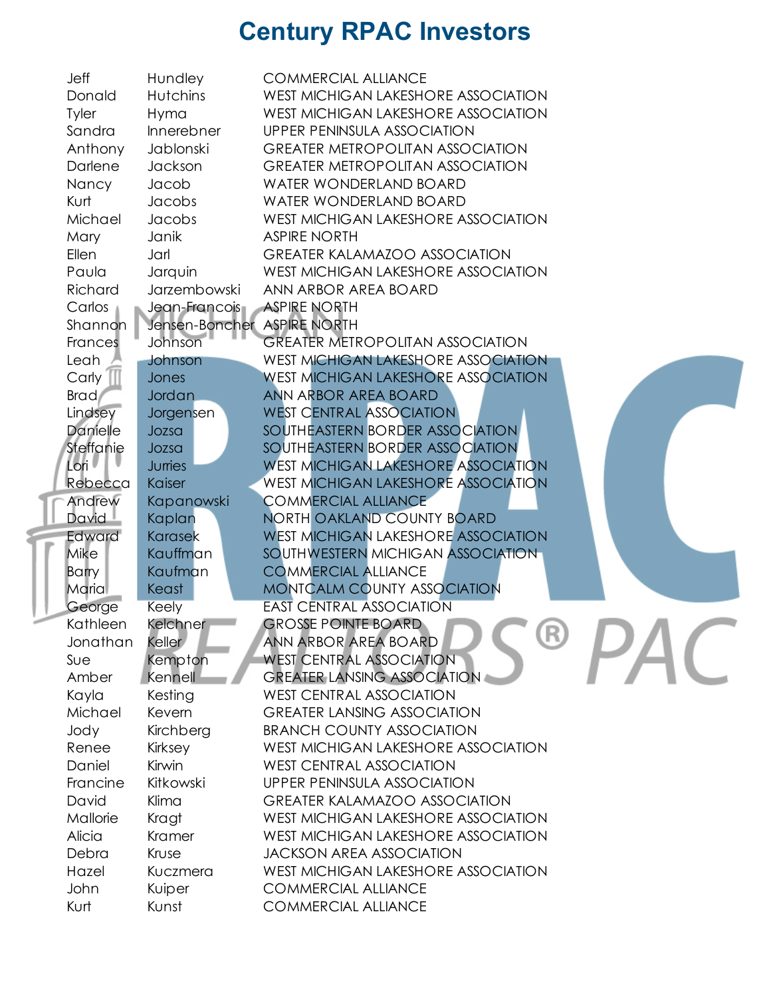| Jeff               | Hundley                     | <b>COMMERCIAL ALLIANCE</b>                 |
|--------------------|-----------------------------|--------------------------------------------|
| Donald             | <b>Hutchins</b>             | WEST MICHIGAN LAKESHORE ASSOCIATION        |
| Tyler              | Hyma                        | WEST MICHIGAN LAKESHORE ASSOCIATION        |
| Sandra             | Innerebner                  | <b>UPPER PENINSULA ASSOCIATION</b>         |
| Anthony            | Jablonski                   | <b>GREATER METROPOLITAN ASSOCIATION</b>    |
| Darlene            | Jackson                     | <b>GREATER METROPOLITAN ASSOCIATION</b>    |
| Nancy              | Jacob                       | <b>WATER WONDERLAND BOARD</b>              |
| Kurt               | Jacobs                      | WATER WONDERLAND BOARD                     |
| Michael            | Jacobs                      | WEST MICHIGAN LAKESHORE ASSOCIATION        |
| Mary               | Janik                       | <b>ASPIRE NORTH</b>                        |
| Ellen              | Jarl                        | <b>GREATER KALAMAZOO ASSOCIATION</b>       |
| Paula              | Jarquin                     | WEST MICHIGAN LAKESHORE ASSOCIATION        |
| Richard            | Jarzembowski                | ANN ARBOR AREA BOARD                       |
| Carlos             | Jean-Francois ASPIRE NORTH  |                                            |
| Shannon            | Jensen-Boncher ASPIRE NORTH |                                            |
| Frances            | Johnson                     | <b>GREATER METROPOLITAN ASSOCIATION</b>    |
| Leah               | Johnson                     | WEST MICHIGAN LAKESHORE ASSOCIATION        |
| Carly              | Jones                       | <b>WEST MICHIGAN LAKESHORE ASSOCIATION</b> |
| Brad/              | <b>Jordan</b>               | ANN ARBOR AREA BOARD                       |
| Lindsey            | Jorgensen                   | <b>WEST CENTRAL ASSOCIATION</b>            |
| Danielle           | Jozsa                       | SOUTHEASTERN BORDER ASSOCIATION            |
| Steffanie          | Jozsa                       | SOUTHEASTERN BORDER ASSOCIATION            |
| Lori <sup>1</sup>  | <b>Juries</b>               | <b>WEST MICHIGAN LAKESHORE ASSOCIATION</b> |
| Rebecca            | Kaiser                      | <b>WEST MICHIGAN LAKESHORE ASSOCIATION</b> |
| Andrew             | Kapanowski                  | <b>COMMERCIAL ALLIANCE</b>                 |
| David <sup>1</sup> | Kaplan                      | NORTH OAKLAND COUNTY BOARD                 |
| Edward             | Karasek                     | <b>WEST MICHIGAN LAKESHORE ASSOCIATION</b> |
| Mike               | Kauffman                    | SOUTHWESTERN MICHIGAN ASSOCIATION          |
| <b>Barry</b>       | Kaufman                     | <b>COMMERCIAL ALLIANCE</b>                 |
| Maria              | Keast                       | MONTCALM COUNTY ASSOCIATION                |
| George             | <b>Keely</b>                | <b>EAST CENTRAL ASSOCIATION</b>            |
| Kathleen           | Kelchner                    | <b>GROSSE POINTE BOARD</b>                 |
| Jonathan           | Keller                      | UK,<br>ANN ARBOR AREA BOARD                |
| Sue                | Kempton                     | <b>WEST CENTRAL ASSOCIATION</b>            |
| Amber              | Kennell                     | <b>GREATER LANSING ASSOCIATION</b>         |
| Kayla              | Kesting                     | <b>WEST CENTRAL ASSOCIATION</b>            |
| Michael            | Kevern                      | <b>GREATER LANSING ASSOCIATION</b>         |
| Jody               | Kirchberg                   | <b>BRANCH COUNTY ASSOCIATION</b>           |
| Renee              | Kirksey                     | WEST MICHIGAN LAKESHORE ASSOCIATION        |
| Daniel             | Kirwin                      | <b>WEST CENTRAL ASSOCIATION</b>            |
| Francine           | Kitkowski                   | <b>UPPER PENINSULA ASSOCIATION</b>         |
| David              | Klima                       | <b>GREATER KALAMAZOO ASSOCIATION</b>       |
| Mallorie           | Kragt                       | WEST MICHIGAN LAKESHORE ASSOCIATION        |
| Alicia             | Kramer                      | WEST MICHIGAN LAKESHORE ASSOCIATION        |
| Debra              | Kruse                       | <b>JACKSON AREA ASSOCIATION</b>            |
| Hazel              | Kuczmera                    | WEST MICHIGAN LAKESHORE ASSOCIATION        |
| John               | Kuiper                      | <b>COMMERCIAL ALLIANCE</b>                 |
| Kurt               | Kunst                       | <b>COMMERCIAL ALLIANCE</b>                 |
|                    |                             |                                            |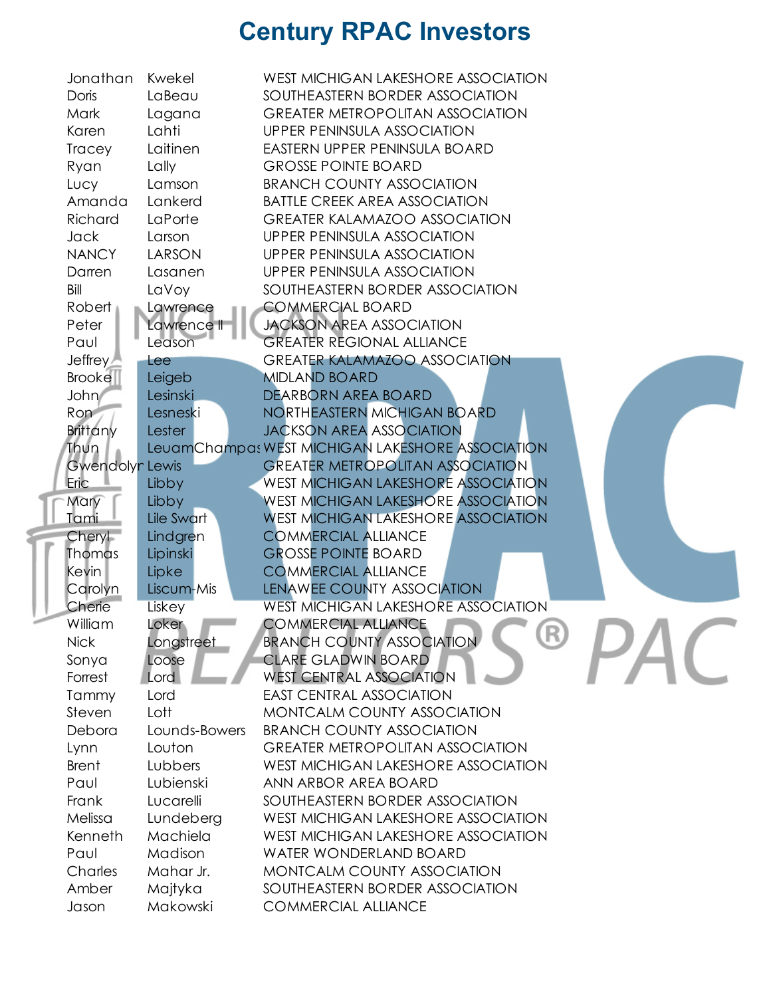| Jonathan          | Kwekel              | WEST MICHIGAN LAKESHORE ASSOCIATION                                      |
|-------------------|---------------------|--------------------------------------------------------------------------|
| Doris             | LaBeau              | SOUTHEASTERN BORDER ASSOCIATION                                          |
| Mark              | Lagana              | <b>GREATER METROPOLITAN ASSOCIATION</b>                                  |
| Karen             | Lahti               | UPPER PENINSULA ASSOCIATION                                              |
| Tracey            | Laitinen            | EASTERN UPPER PENINSULA BOARD                                            |
| Ryan              | Lally               | <b>GROSSE POINTE BOARD</b>                                               |
| Lucy              | Lamson              | <b>BRANCH COUNTY ASSOCIATION</b>                                         |
| Amanda            | Lankerd             | <b>BATTLE CREEK AREA ASSOCIATION</b>                                     |
| Richard           | LaPorte             | <b>GREATER KALAMAZOO ASSOCIATION</b>                                     |
| <b>Jack</b>       | Larson              | UPPER PENINSULA ASSOCIATION                                              |
| <b>NANCY</b>      | LARSON              | UPPER PENINSULA ASSOCIATION                                              |
| Darren            | Lasanen             | UPPER PENINSULA ASSOCIATION                                              |
| Bill              | LaVoy               | SOUTHEASTERN BORDER ASSOCIATION                                          |
| Robert            | Lawrence            | <b>COMMERCIAL BOARD</b>                                                  |
| Peter             | Lawrence II         | <b>JACKSON AREA ASSOCIATION</b>                                          |
| Paul              | Leason              | <b>GREATER REGIONAL ALLIANCE</b>                                         |
| Jeffrey           | Lee                 | <b>GREATER KALAMAZOO ASSOCIATION</b>                                     |
| <b>Brooke</b>     | Leigeb              | <b>MIDLAND BOARD</b>                                                     |
| John/             | Lesinski            | DEARBORN AREA BOARD                                                      |
| Ron <sup>-</sup>  | Lesneski            | NORTHEASTERN MICHIGAN BOARD                                              |
| <b>Brittany</b>   | Lester              | <b>JACKSON AREA ASSOCIATION</b>                                          |
| Thun              |                     | LeuamChampa: WEST MICHIGAN LAKESHORE ASSOCIATION                         |
| Gwendolyn Lewis   |                     | <b>GREATER METROPOLITAN ASSOCIATION</b>                                  |
| Eric              | Libby               | <b>WEST MICHIGAN LAKESHORE ASSOCIATION</b>                               |
| Mary              | Libby               | <b>WEST MICHIGAN LAKESHORE ASSOCIATION</b>                               |
| Tami              | Lile Swart          | <b>WEST MICHIGAN LAKESHORE ASSOCIATION</b>                               |
| Cheryl            | Lindgren            | <b>COMMERCIAL ALLIANCE</b>                                               |
| <b>Thomas</b>     | Lipinski            | <b>GROSSE POINTE BOARD</b>                                               |
| <b>Kevin</b>      | Lipke               | <b>COMMERCIAL ALLIANCE</b>                                               |
| Carolyn           | Liscum-Mis          | LENAWEE COUNTY ASSOCIATION                                               |
| Cherie<br>William | Liskey              | <b>WEST MICHIGAN LAKESHORE ASSOCIATION</b><br><b>COMMERCIAL ALLIANCE</b> |
|                   | Loker               | (K)<br><b>BRANCH COUNTY ASSOCIATION</b>                                  |
| <b>Nick</b>       | Longstreet<br>Loose | <b>CLARE GLADWIN BOARD</b>                                               |
| Sonya<br>Forrest  | Lord                | <b>WEST CENTRAL ASSOCIATION</b>                                          |
| Tammy             | Lord                | <b>EAST CENTRAL ASSOCIATION</b>                                          |
| Steven            | Lott                | MONTCALM COUNTY ASSOCIATION                                              |
| Debora            | Lounds-Bowers       | <b>BRANCH COUNTY ASSOCIATION</b>                                         |
| Lynn              | Louton              | <b>GREATER METROPOLITAN ASSOCIATION</b>                                  |
| <b>Brent</b>      | Lubbers             | WEST MICHIGAN LAKESHORE ASSOCIATION                                      |
| Paul              | Lubienski           | ANN ARBOR AREA BOARD                                                     |
| Frank             | Lucarelli           | SOUTHEASTERN BORDER ASSOCIATION                                          |
| Melissa           | Lundeberg           | WEST MICHIGAN LAKESHORE ASSOCIATION                                      |
| Kenneth           | Machiela            | WEST MICHIGAN LAKESHORE ASSOCIATION                                      |
| Paul              | Madison             | <b>WATER WONDERLAND BOARD</b>                                            |
| Charles           | Mahar Jr.           | MONTCALM COUNTY ASSOCIATION                                              |
| Amber             | Majtyka             | SOUTHEASTERN BORDER ASSOCIATION                                          |
| Jason             | Makowski            | <b>COMMERCIAL ALLIANCE</b>                                               |
|                   |                     |                                                                          |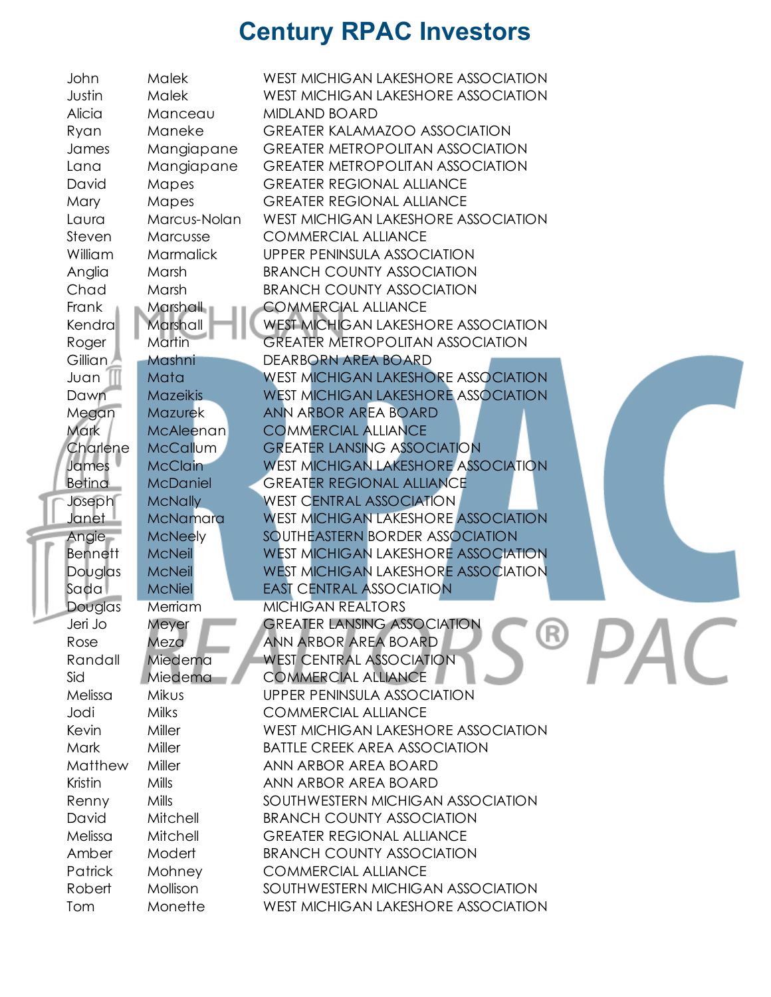| John               | Malek                | WEST MICHIGAN LAKESHORE ASSOCIATION                                  |
|--------------------|----------------------|----------------------------------------------------------------------|
| Justin             | Malek                | WEST MICHIGAN LAKESHORE ASSOCIATION                                  |
| Alicia             | Manceau              | <b>MIDLAND BOARD</b>                                                 |
| Ryan               | Maneke               | <b>GREATER KALAMAZOO ASSOCIATION</b>                                 |
| James              | Mangiapane           | <b>GREATER METROPOLITAN ASSOCIATION</b>                              |
| Lana               | Mangiapane           | <b>GREATER METROPOLITAN ASSOCIATION</b>                              |
| David              | Mapes                | <b>GREATER REGIONAL ALLIANCE</b>                                     |
| Mary               | Mapes                | <b>GREATER REGIONAL ALLIANCE</b>                                     |
| Laura              | Marcus-Nolan         | WEST MICHIGAN LAKESHORE ASSOCIATION                                  |
| Steven             | Marcusse             | <b>COMMERCIAL ALLIANCE</b>                                           |
| William            | <b>Marmalick</b>     | UPPER PENINSULA ASSOCIATION                                          |
| Anglia             | Marsh                | <b>BRANCH COUNTY ASSOCIATION</b>                                     |
| Chad               | Marsh                | <b>BRANCH COUNTY ASSOCIATION</b>                                     |
| Frank              | Marshall             | <b>COMMERCIAL ALLIANCE</b>                                           |
| Kendra             | Marshall             | <b>WEST MICHIGAN LAKESHORE ASSOCIATION</b>                           |
| Roger              | Martin               | <b>GREATER METROPOLITAN ASSOCIATION</b>                              |
| Gillian            | Mashni               | DEARBORN AREA BOARD                                                  |
| Juan               | Mata                 | <b>WEST MICHIGAN LAKESHORE ASSOCIATION</b>                           |
| Dawn               | <b>Mazeikis</b>      | <b>WEST MICHIGAN LAKESHORE ASSOCIATION</b>                           |
| Megan              | <b>Mazurek</b>       | ANN ARBOR AREA BOARD                                                 |
| Mark               | McAleenan            | <b>COMMERCIAL ALLIANCE</b>                                           |
| Charlene           | <b>McCallum</b>      | <b>GREATER LANSING ASSOCIATION</b>                                   |
| James              | <b>McClain</b>       | <b>WEST MICHIGAN LAKESHORE ASSOCIATION</b>                           |
| <b>Betina</b>      | <b>McDaniel</b>      | <b>GREATER REGIONAL ALLIANCE</b>                                     |
| Joseph             | <b>McNally</b>       | <b>WEST CENTRAL ASSOCIATION</b>                                      |
| Janet <sup>1</sup> | McNamara             | <b>WEST MICHIGAN LAKESHORE ASSOCIATION</b>                           |
| Angie              | <b>McNeely</b>       | SOUTHEASTERN BORDER ASSOCIATION                                      |
| <b>Bennett</b>     | <b>McNeil</b>        | <b>WEST MICHIGAN LAKESHORE ASSOCIATION</b>                           |
| Douglas            | <b>McNeil</b>        | <b>WEST MICHIGAN LAKESHORE ASSOCIATION</b>                           |
| Sada               | <b>McNiel</b>        | <b>EAST CENTRAL ASSOCIATION</b>                                      |
| Douglas            | Merriam              | <b>MICHIGAN REALTORS</b>                                             |
| Jeri Jo            | Meyer                | <b>GREATER LANSING ASSOCIATION</b><br>(R)                            |
| Rose               | Meza                 | ANN ARBOR AREA BOARD                                                 |
| Randall            | Miedema              | <b>WEST CENTRAL ASSOCIATION</b>                                      |
| Sid                | Miedema              | <b>COMMERCIAL ALLIANCE</b>                                           |
| Melissa            | Mikus                | <b>UPPER PENINSULA ASSOCIATION</b>                                   |
| Jodi               | Milks                | <b>COMMERCIAL ALLIANCE</b>                                           |
| Kevin              | Miller               | WEST MICHIGAN LAKESHORE ASSOCIATION                                  |
| Mark               | Miller               | <b>BATTLE CREEK AREA ASSOCIATION</b>                                 |
| Matthew<br>Kristin | Miller<br>Mills      | ANN ARBOR AREA BOARD                                                 |
|                    |                      | ANN ARBOR AREA BOARD                                                 |
| Renny              | Mills                | SOUTHWESTERN MICHIGAN ASSOCIATION                                    |
| David<br>Melissa   | Mitchell<br>Mitchell | <b>BRANCH COUNTY ASSOCIATION</b><br><b>GREATER REGIONAL ALLIANCE</b> |
| Amber              | Modert               | <b>BRANCH COUNTY ASSOCIATION</b>                                     |
| Patrick            | Mohney               | <b>COMMERCIAL ALLIANCE</b>                                           |
| Robert             | Mollison             | SOUTHWESTERN MICHIGAN ASSOCIATION                                    |
|                    | Monette              |                                                                      |
| Tom                |                      | WEST MICHIGAN LAKESHORE ASSOCIATION                                  |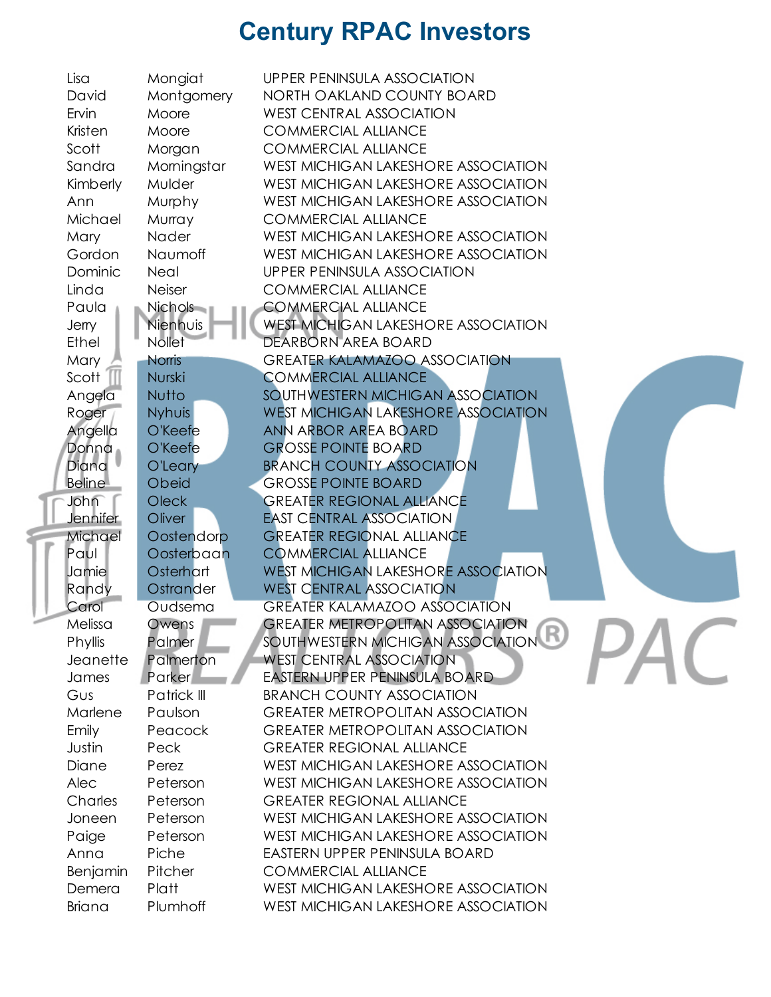| Lisa          | Mongiat       | UPPER PENINSULA ASSOCIATION                |
|---------------|---------------|--------------------------------------------|
| David         | Montgomery    | NORTH OAKLAND COUNTY BOARD                 |
| Ervin         | Moore         | <b>WEST CENTRAL ASSOCIATION</b>            |
| Kristen       | Moore         | <b>COMMERCIAL ALLIANCE</b>                 |
| Scott         | Morgan        | <b>COMMERCIAL ALLIANCE</b>                 |
| Sandra        | Morningstar   | WEST MICHIGAN LAKESHORE ASSOCIATION        |
| Kimberly      | <b>Mulder</b> | WEST MICHIGAN LAKESHORE ASSOCIATION        |
| Ann           | Murphy        | WEST MICHIGAN LAKESHORE ASSOCIATION        |
| Michael       | Murray        | <b>COMMERCIAL ALLIANCE</b>                 |
| Mary          | Nader         | WEST MICHIGAN LAKESHORE ASSOCIATION        |
| Gordon        | Naumoff       | WEST MICHIGAN LAKESHORE ASSOCIATION        |
| Dominic       | Neal          | UPPER PENINSULA ASSOCIATION                |
| Linda         | <b>Neiser</b> | <b>COMMERCIAL ALLIANCE</b>                 |
| Paula         | Nichols -     | <b>COMMERCIAL ALLIANCE</b>                 |
| Jerry         | Nienhuis      | <b>WEST MICHIGAN LAKESHORE ASSOCIATION</b> |
| Ethel         | <b>Nollet</b> | DEARBORN AREA BOARD                        |
| Mary          | <b>Norris</b> | <b>GREATER KALAMAZOO ASSOCIATION</b>       |
| Scott         | Nurski        | <b>COMMERCIAL ALLIANCE</b>                 |
| Angela        | <b>Nutto</b>  | SOUTHWESTERN MICHIGAN ASSOCIATION          |
| Roger         | <b>Nyhuis</b> | <b>WEST MICHIGAN LAKESHORE ASSOCIATION</b> |
| Angella       | O'Keefe       | ANN ARBOR AREA BOARD                       |
| Donna         | O'Keefe       | <b>GROSSE POINTE BOARD</b>                 |
| Diana         | O'Leary       | <b>BRANCH COUNTY ASSOCIATION</b>           |
| <b>Beline</b> | Obeid         | <b>GROSSE POINTE BOARD</b>                 |
| John          | Oleck         | <b>GREATER REGIONAL ALLIANCE</b>           |
| Jennifer      | Oliver        | <b>EAST CENTRAL ASSOCIATION</b>            |
| Michael       | Oostendorp    | <b>GREATER REGIONAL ALLIANCE</b>           |
| Paul          | Oosterbaan    | <b>COMMERCIAL ALLIANCE</b>                 |
| Jamie         | Osterhart     | <b>WEST MICHIGAN LAKESHORE ASSOCIATION</b> |
| Randy         | Ostrander     | <b>WEST CENTRAL ASSOCIATION</b>            |
| Carol         | Oudsema       | <b>GREATER KALAMAZOO ASSOCIATION</b>       |
| Melissa       | Owens         | <b>GREATER METROPOLITAN ASSOCIATION</b>    |
| Phyllis       | Palmer        | SOUTHWESTERN MICHIGAN ASSOCIATION          |
| Jeanette      | Palmerton     | <b>WEST CENTRAL ASSOCIATION</b>            |
| James         | Parker        | EASTERN UPPER PENINSULA BOARD              |
| Gus           | Patrick III   | <b>BRANCH COUNTY ASSOCIATION</b>           |
| Marlene       | Paulson       | <b>GREATER METROPOLITAN ASSOCIATION</b>    |
| Emily         | Peacock       | <b>GREATER METROPOLITAN ASSOCIATION</b>    |
| Justin        | Peck          | <b>GREATER REGIONAL ALLIANCE</b>           |
| Diane         | Perez         | WEST MICHIGAN LAKESHORE ASSOCIATION        |
| Alec          | Peterson      | WEST MICHIGAN LAKESHORE ASSOCIATION        |
| Charles       | Peterson      | <b>GREATER REGIONAL ALLIANCE</b>           |
| Joneen        | Peterson      | WEST MICHIGAN LAKESHORE ASSOCIATION        |
| Paige         | Peterson      | WEST MICHIGAN LAKESHORE ASSOCIATION        |
| Anna          | Piche         | EASTERN UPPER PENINSULA BOARD              |
| Benjamin      | Pitcher       | <b>COMMERCIAL ALLIANCE</b>                 |
| Demera        | Platt         | WEST MICHIGAN LAKESHORE ASSOCIATION        |
| Briana        | Plumhoff      | <b>WEST MICHIGAN LAKESHORE ASSOCIATION</b> |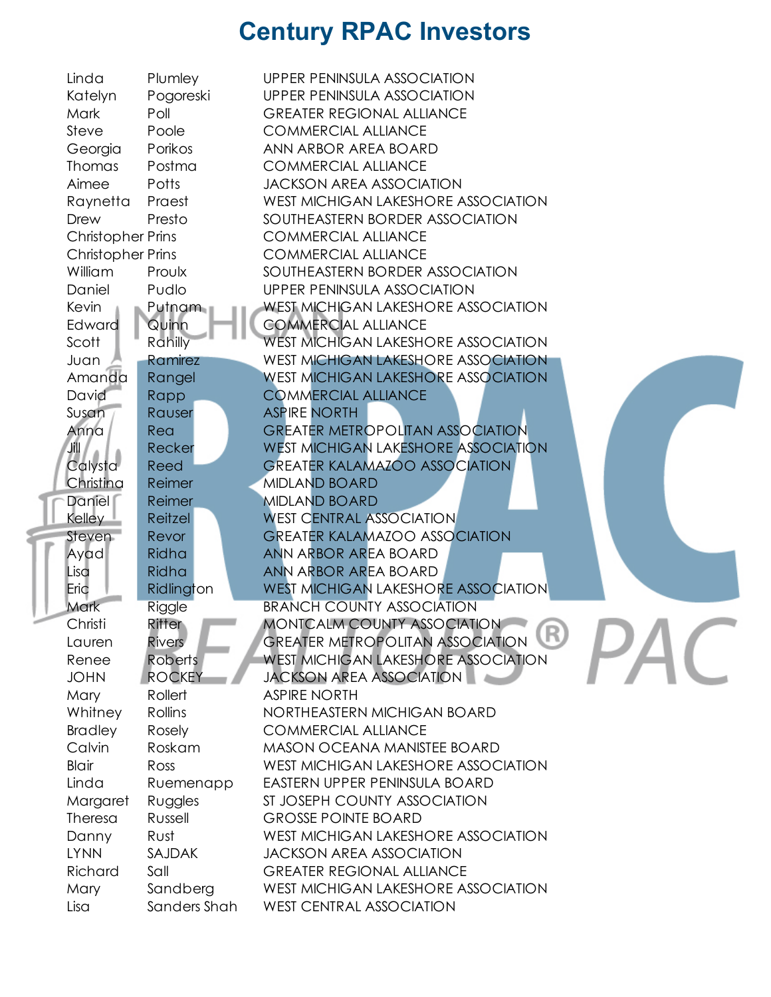| Linda                    | Plumley        | UPPER PENINSULA ASSOCIATION                |  |
|--------------------------|----------------|--------------------------------------------|--|
| Katelyn                  | Pogoreski      | UPPER PENINSULA ASSOCIATION                |  |
| Mark                     | Poll           | <b>GREATER REGIONAL ALLIANCE</b>           |  |
| Steve                    | Poole          | <b>COMMERCIAL ALLIANCE</b>                 |  |
| Georgia                  | Porikos        | ANN ARBOR AREA BOARD                       |  |
| <b>Thomas</b>            | Postma         | <b>COMMERCIAL ALLIANCE</b>                 |  |
| Aimee                    | Potts          | <b>JACKSON AREA ASSOCIATION</b>            |  |
| Raynetta                 | Praest         | WEST MICHIGAN LAKESHORE ASSOCIATION        |  |
| Drew                     | Presto         | SOUTHEASTERN BORDER ASSOCIATION            |  |
| <b>Christopher Prins</b> |                | <b>COMMERCIAL ALLIANCE</b>                 |  |
| <b>Christopher Prins</b> |                | <b>COMMERCIAL ALLIANCE</b>                 |  |
| William                  | Proulx         | SOUTHEASTERN BORDER ASSOCIATION            |  |
|                          |                |                                            |  |
| Daniel                   | Pudlo          | <b>UPPER PENINSULA ASSOCIATION</b>         |  |
| Kevin                    | Putnam         | <b>WEST MICHIGAN LAKESHORE ASSOCIATION</b> |  |
| Edward                   | Quinn          | <b>COMMERCIAL ALLIANCE</b>                 |  |
| Scott                    | Rahilly        | <b>WEST MICHIGAN LAKESHORE ASSOCIATION</b> |  |
| Juan                     | Ramirez        | <b>WEST MICHIGAN LAKESHORE ASSOCIATION</b> |  |
| Amanda                   | Rangel         | <b>WEST MICHIGAN LAKESHORE ASSOCIATION</b> |  |
| David                    | Rapp           | <b>COMMERCIAL ALLIANCE</b>                 |  |
| Susan                    | Rauser         | <b>ASPIRE NORTH</b>                        |  |
| Anna                     | Rea            | <b>GREATER METROPOLITAN ASSOCIATION</b>    |  |
| JIL.                     | Recker         | <b>WEST MICHIGAN LAKESHORE ASSOCIATION</b> |  |
| Calysta                  | Reed           | <b>GREATER KALAMAZOO ASSOCIATION</b>       |  |
| Christina                | Reimer         | <b>MIDLAND BOARD</b>                       |  |
| Daniel                   | Reimer         | <b>MIDLAND BOARD</b>                       |  |
| <b>Kelley</b>            | Reitzel        | <b>WEST CENTRAL ASSOCIATION</b>            |  |
| Steven.                  | Revor          | <b>GREATER KALAMAZOO ASSOCIATION</b>       |  |
| Ayad                     | Ridha          | ANN ARBOR AREA BOARD                       |  |
| Lisa                     | Ridha          | ANN ARBOR AREA BOARD                       |  |
| Eric                     | Ridlington     | <b>WEST MICHIGAN LAKESHORE ASSOCIATION</b> |  |
| Mark                     | Riggle         | <b>BRANCH COUNTY ASSOCIATION</b>           |  |
| Christi                  | Ritter         | MONTCALM COUNTY ASSOCIATION                |  |
| Lauren                   | <b>Rivers</b>  | GREATER METROPOLITAN ASSOCIATION           |  |
| Renee                    | <b>Roberts</b> | <b>WEST MICHIGAN LAKESHORE ASSOCIATION</b> |  |
| <b>JOHN</b>              | <b>ROCKEY</b>  | <b>JACKSON AREA ASSOCIATION</b>            |  |
| Mary                     | Rollert        | <b>ASPIRE NORTH</b>                        |  |
| Whitney                  | Rollins        | NORTHEASTERN MICHIGAN BOARD                |  |
| <b>Bradley</b>           | Rosely         | <b>COMMERCIAL ALLIANCE</b>                 |  |
| Calvin                   | Roskam         | <b>MASON OCEANA MANISTEE BOARD</b>         |  |
| <b>Blair</b>             | Ross           | WEST MICHIGAN LAKESHORE ASSOCIATION        |  |
| Linda                    | Ruemenapp      | EASTERN UPPER PENINSULA BOARD              |  |
| Margaret                 | Ruggles        | ST JOSEPH COUNTY ASSOCIATION               |  |
| Theresa                  | Russell        | <b>GROSSE POINTE BOARD</b>                 |  |
| Danny                    | Rust           | WEST MICHIGAN LAKESHORE ASSOCIATION        |  |
| <b>LYNN</b>              | <b>SAJDAK</b>  | <b>JACKSON AREA ASSOCIATION</b>            |  |
| Richard                  | Sall           | <b>GREATER REGIONAL ALLIANCE</b>           |  |
| Mary                     | Sandberg       | WEST MICHIGAN LAKESHORE ASSOCIATION        |  |
|                          |                |                                            |  |
| Lisa                     | Sanders Shah   | <b>WEST CENTRAL ASSOCIATION</b>            |  |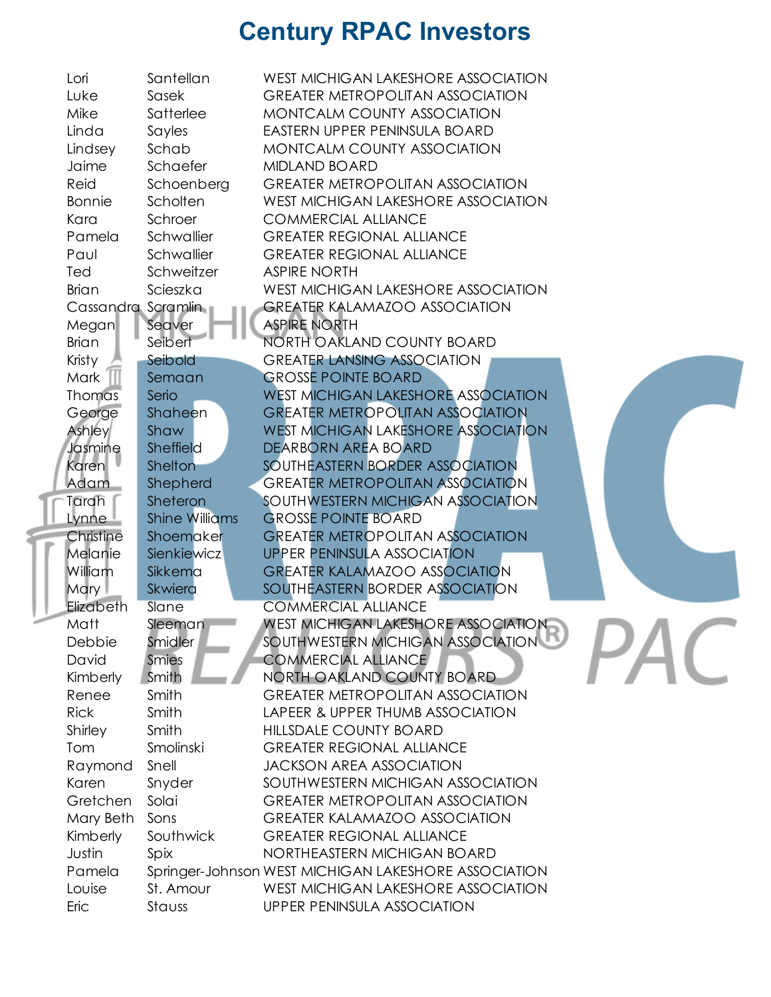| Lori               | Santellan             | WEST MICHIGAN LAKESHORE ASSOCIATION                  |
|--------------------|-----------------------|------------------------------------------------------|
| Luke               | Sasek                 | <b>GREATER METROPOLITAN ASSOCIATION</b>              |
| Mike               | Satterlee             | <b>MONTCALM COUNTY ASSOCIATION</b>                   |
| Linda              | Sayles                | EASTERN UPPER PENINSULA BOARD                        |
| Lindsey            | Schab                 | MONTCALM COUNTY ASSOCIATION                          |
| Jaime              | Schaefer              | <b>MIDLAND BOARD</b>                                 |
| Reid               | Schoenberg            | <b>GREATER METROPOLITAN ASSOCIATION</b>              |
| <b>Bonnie</b>      | Scholten              | WEST MICHIGAN LAKESHORE ASSOCIATION                  |
| Kara               | Schroer               | <b>COMMERCIAL ALLIANCE</b>                           |
| Pamela             | Schwallier            | <b>GREATER REGIONAL ALLIANCE</b>                     |
| Paul               | Schwallier            | <b>GREATER REGIONAL ALLIANCE</b>                     |
| Ted                | Schweitzer            | <b>ASPIRE NORTH</b>                                  |
| <b>Brian</b>       | Scieszka              | WEST MICHIGAN LAKESHORE ASSOCIATION                  |
| Cassandra Scramlin |                       | <b>GREATER KALAMAZOO ASSOCIATION</b>                 |
| Megan              | Seaver                | <b>ASPIRE NORTH</b>                                  |
| <b>Brian</b>       | Seibert               | NORTH OAKLAND COUNTY BOARD                           |
| Kristy             | Seibold               | <b>GREATER LANSING ASSOCIATION</b>                   |
| Mark               | Semaan                | <b>GROSSE POINTE BOARD</b>                           |
| Thomas             | Serio                 | <b>WEST MICHIGAN LAKESHORE ASSOCIATION</b>           |
| George             | Shaheen               | <b>GREATER METROPOLITAN ASSOCIATION</b>              |
| Ashley             | Shaw                  | <b>WEST MICHIGAN LAKESHORE ASSOCIATION</b>           |
| Jasmine            | Sheffield             | DEARBORN AREA BOARD                                  |
| Karen l            | Shelton               | SOUTHEASTERN BORDER ASSOCIATION                      |
| Adam               | Shepherd              | <b>GREATER METROPOLITAN ASSOCIATION</b>              |
| Tarah              | Sheteron              | SOUTHWESTERN MICHIGAN ASSOCIATION                    |
| Lynne <sup>1</sup> | <b>Shine Williams</b> | <b>GROSSE POINTE BOARD</b>                           |
| Christine          | Shoemaker             | <b>GREATER METROPOLITAN ASSOCIATION</b>              |
| Melanie            | Sienkiewicz           | <b>UPPER PENINSULA ASSOCIATION</b>                   |
| William            | Sikkema               | <b>GREATER KALAMAZOO ASSOCIATION</b>                 |
| <b>Mary</b>        | Skwiera               | SOUTHEASTERN BORDER ASSOCIATION                      |
| Elizabeth          | Slane                 | <b>COMMERCIAL ALLIANCE</b>                           |
| Matt               | Sleeman               | <b>WEST MICHIGAN LAKESHORE ASSOCIATION</b>           |
| Debbie             | Smidler               | SOUTHWESTERN MICHIGAN ASSOCIATION                    |
| David              | <b>Smies</b>          | <b>COMMERCIAL ALLIANCE</b>                           |
| Kimberly           | Smith                 | NORTH OAKLAND COUNTY BOARD                           |
| Renee              | Smith                 | <b>GREATER METROPOLITAN ASSOCIATION</b>              |
| <b>Rick</b>        | Smith                 | LAPEER & UPPER THUMB ASSOCIATION                     |
| Shirley            | Smith                 | HILLSDALE COUNTY BOARD                               |
| Tom                | Smolinski             | <b>GREATER REGIONAL ALLIANCE</b>                     |
| Raymond            | Snell                 | <b>JACKSON AREA ASSOCIATION</b>                      |
| Karen              | Snyder                | SOUTHWESTERN MICHIGAN ASSOCIATION                    |
| Gretchen           | Solai                 | <b>GREATER METROPOLITAN ASSOCIATION</b>              |
| Mary Beth          | Sons                  | <b>GREATER KALAMAZOO ASSOCIATION</b>                 |
| Kimberly           | Southwick             | <b>GREATER REGIONAL ALLIANCE</b>                     |
| Justin             | Spix                  | NORTHEASTERN MICHIGAN BOARD                          |
| Pamela             |                       | Springer-Johnson WEST MICHIGAN LAKESHORE ASSOCIATION |
| Louise             | St. Amour             | WEST MICHIGAN LAKESHORE ASSOCIATION                  |
| Eric               | Stauss                | UPPER PENINSULA ASSOCIATION                          |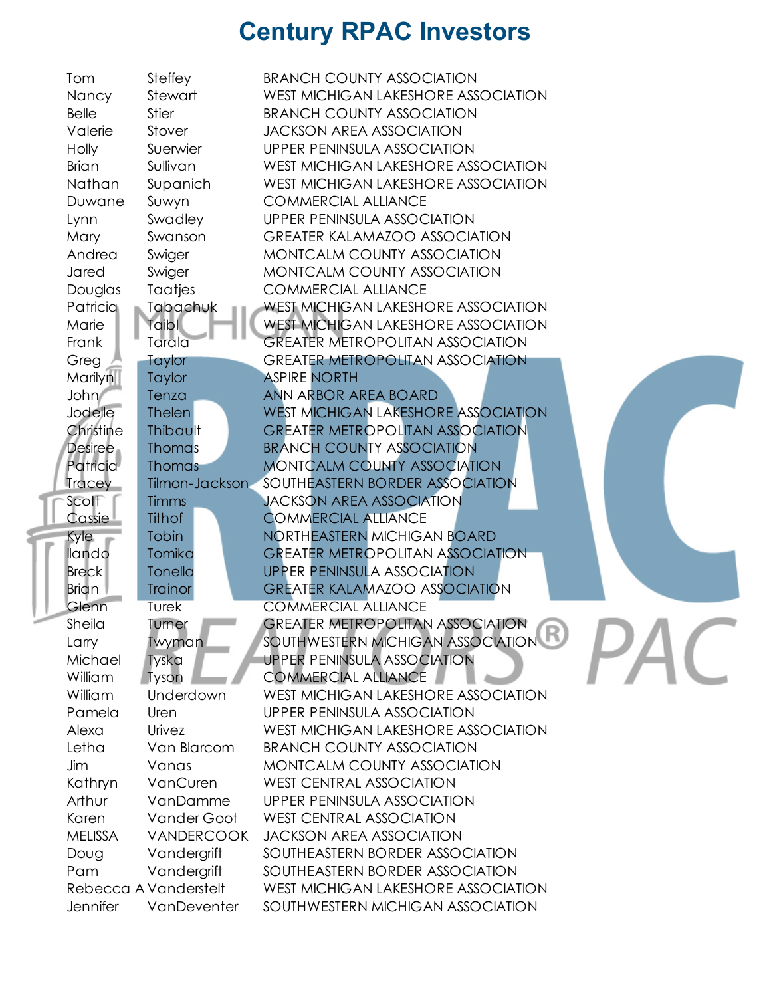| Tom                             | Steffey               | <b>BRANCH COUNTY ASSOCIATION</b>           |
|---------------------------------|-----------------------|--------------------------------------------|
| Nancy                           | Stewart               | WEST MICHIGAN LAKESHORE ASSOCIATION        |
| <b>Belle</b>                    | <b>Stier</b>          | <b>BRANCH COUNTY ASSOCIATION</b>           |
| Valerie                         | Stover                | <b>JACKSON AREA ASSOCIATION</b>            |
| Holly                           | Suerwier              | <b>UPPER PENINSULA ASSOCIATION</b>         |
| <b>Brian</b>                    | Sullivan              | WEST MICHIGAN LAKESHORE ASSOCIATION        |
| Nathan                          | Supanich              | WEST MICHIGAN LAKESHORE ASSOCIATION        |
| Duwane                          | Suwyn                 | <b>COMMERCIAL ALLIANCE</b>                 |
| Lynn                            | Swadley               | <b>UPPER PENINSULA ASSOCIATION</b>         |
| Mary                            | Swanson               | <b>GREATER KALAMAZOO ASSOCIATION</b>       |
| Andrea                          | Swiger                | MONTCALM COUNTY ASSOCIATION                |
| Jared                           | Swiger                | MONTCALM COUNTY ASSOCIATION                |
| Douglas                         | Taatjes               | <b>COMMERCIAL ALLIANCE</b>                 |
| Patricia                        | Tabachuk              | <b>WEST MICHIGAN LAKESHORE ASSOCIATION</b> |
| Marie                           | Taibl                 | <b>WEST MICHIGAN LAKESHORE ASSOCIATION</b> |
| Frank                           | Tarala                | <b>GREATER METROPOLITAN ASSOCIATION</b>    |
| Greg                            | Taylor                | <b>GREATER METROPOLITAN ASSOCIATION</b>    |
| <b>Marilyn</b>                  | Taylor                | <b>ASPIRE NORTH</b>                        |
| John                            | Tenza                 | <b>ANN ARBOR AREA BOARD</b>                |
| Jodelle                         | <b>Thelen</b>         | <b>WEST MICHIGAN LAKESHORE ASSOCIATION</b> |
| Christine                       | Thibault              | <b>GREATER METROPOLITAN ASSOCIATION</b>    |
| Desiree                         | <b>Thomas</b>         | <b>BRANCH COUNTY ASSOCIATION</b>           |
| <b>Patricia</b>                 | <b>Thomas</b>         | <b>MONTCALM COUNTY ASSOCIATION</b>         |
| <b>Tracey</b>                   | Tilmon-Jackson        | SOUTHEASTERN BORDER ASSOCIATION            |
| Scott                           | <b>Timms</b>          | <b>JACKSON AREA ASSOCIATION</b>            |
| $\mathsf{C}$ assie $\mathsf{I}$ | Tithof                | <b>COMMERCIAL ALLIANCE</b>                 |
| Kyle                            | Tobin                 | NORTHEASTERN MICHIGAN BOARD                |
| llando                          | Tomika                | <b>GREATER METROPOLITAN ASSOCIATION</b>    |
| <b>Breck</b>                    | Tonella               | <b>UPPER PENINSULA ASSOCIATION</b>         |
| <b>Brian</b>                    | <b>Trainor</b>        | <b>GREATER KALAMAZOO ASSOCIATION</b>       |
| Glenn                           | Turek                 | <b>COMMERCIAL ALLIANCE</b>                 |
| Sheila                          | Tumer                 | <b>GREATER METROPOLITAN ASSOCIATION</b>    |
| Larry                           | Twyman                | SOUTHWESTERN MICHIGAN ASSOCIATION          |
| Michael                         | Tyska                 | <b>UPPER PENINSULA ASSOCIATION</b>         |
| William                         | Tyson                 | <b>COMMERCIAL ALLIANCE</b>                 |
| William                         | Underdown             | WEST MICHIGAN LAKESHORE ASSOCIATION        |
| Pamela                          | Uren                  | <b>UPPER PENINSULA ASSOCIATION</b>         |
| Alexa                           | Urivez                | WEST MICHIGAN LAKESHORE ASSOCIATION        |
| Letha                           | Van Blarcom           | <b>BRANCH COUNTY ASSOCIATION</b>           |
| Jim                             | Vanas                 | MONTCALM COUNTY ASSOCIATION                |
| Kathryn                         | VanCuren              | <b>WEST CENTRAL ASSOCIATION</b>            |
| Arthur                          | VanDamme              | <b>UPPER PENINSULA ASSOCIATION</b>         |
| Karen                           | Vander Goot           | <b>WEST CENTRAL ASSOCIATION</b>            |
| <b>MELISSA</b>                  | <b>VANDERCOOK</b>     | <b>JACKSON AREA ASSOCIATION</b>            |
| Doug                            | Vandergrift           | SOUTHEASTERN BORDER ASSOCIATION            |
| Pam                             | Vandergrift           | SOUTHEASTERN BORDER ASSOCIATION            |
|                                 | Rebecca A Vanderstelt | WEST MICHIGAN LAKESHORE ASSOCIATION        |
| <b>Jennifer</b>                 | VanDeventer           | SOUTHWESTERN MICHIGAN ASSOCIATION          |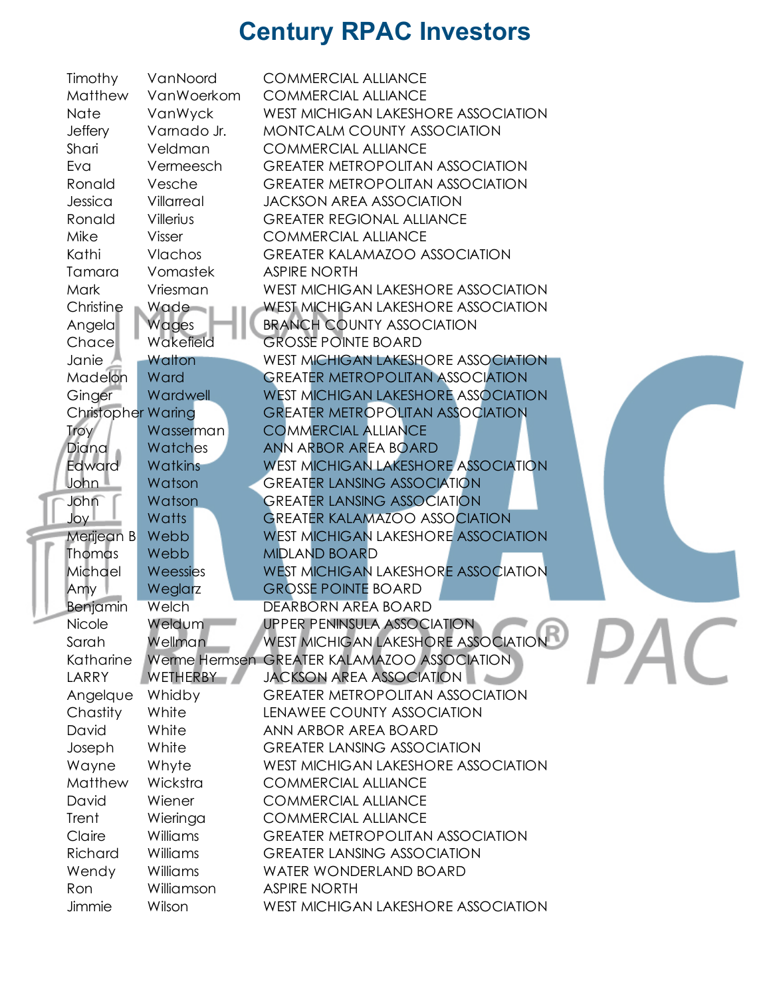|  | Timothy                   | VanNoord       | <b>COMMERCIAL ALLIANCE</b>                  |
|--|---------------------------|----------------|---------------------------------------------|
|  | Matthew                   | VanWoerkom     | <b>COMMERCIAL ALLIANCE</b>                  |
|  | Nate                      | VanWyck        | WEST MICHIGAN LAKESHORE ASSOCIATION         |
|  | <b>Jeffery</b>            | Vamado Jr.     | MONTCALM COUNTY ASSOCIATION                 |
|  | Shari                     | Veldman        | <b>COMMERCIAL ALLIANCE</b>                  |
|  | Eva                       | Vermeesch      | <b>GREATER METROPOLITAN ASSOCIATION</b>     |
|  | Ronald                    | Vesche         | <b>GREATER METROPOLITAN ASSOCIATION</b>     |
|  | Jessica                   | Villarreal     | <b>JACKSON AREA ASSOCIATION</b>             |
|  | Ronald                    | Villerius      | <b>GREATER REGIONAL ALLIANCE</b>            |
|  | Mike                      | Visser         | <b>COMMERCIAL ALLIANCE</b>                  |
|  | Kathi                     | Vlachos        | <b>GREATER KALAMAZOO ASSOCIATION</b>        |
|  | Tamara                    | Vomastek       | <b>ASPIRE NORTH</b>                         |
|  | Mark                      | Vriesman       | <b>WEST MICHIGAN LAKESHORE ASSOCIATION</b>  |
|  | Christine                 | Wade           | <b>WEST MICHIGAN LAKESHORE ASSOCIATION</b>  |
|  | Angela                    | Wages          | <b>BRANCH COUNTY ASSOCIATION</b>            |
|  | Chace                     | Wakefield      | <b>GROSSE POINTE BOARD</b>                  |
|  | Janie                     | Walton         | <b>WEST MICHIGAN LAKESHORE ASSOCIATION</b>  |
|  | Madelon                   | Ward           | <b>GREATER METROPOLITAN ASSOCIATION</b>     |
|  | Ginger                    | Wardwell       | <b>WEST MICHIGAN LAKESHORE ASSOCIATION</b>  |
|  | <b>Christopher Waring</b> |                | <b>GREATER METROPOLITAN ASSOCIATION</b>     |
|  | <b>Troy</b>               | Wasserman      | <b>COMMERCIAL ALLIANCE</b>                  |
|  | Diana                     | Watches        | ANN ARBOR AREA BOARD                        |
|  | Edward                    | <b>Watkins</b> | <b>WEST MICHIGAN LAKESHORE ASSOCIATION</b>  |
|  | John L                    | Watson         | <b>GREATER LANSING ASSOCIATION</b>          |
|  | John                      | Watson         | <b>GREATER LANSING ASSOCIATION</b>          |
|  | Joy I                     | Watts          | <b>GREATER KALAMAZOO ASSOCIATION</b>        |
|  | Merijean B                | Webb           | <b>WEST MICHIGAN LAKESHORE ASSOCIATION</b>  |
|  | Thomas                    | Webb           | <b>MIDLAND BOARD</b>                        |
|  | Michael                   | Weessies       | <b>WEST MICHIGAN LAKESHORE ASSOCIATION</b>  |
|  | Amy                       | Weglarz        | <b>GROSSE POINTE BOARD</b>                  |
|  | Benjamin                  | Welch          | DEARBORN AREA BOARD                         |
|  | Nicole                    | Weldum         | <b>UPPER PENINSULA ASSOCIATION</b><br>D     |
|  | Sarah                     | <b>Wellman</b> | WEST MICHIGAN LAKESHORE ASSOCIATION         |
|  | Katharine                 |                | Werme Hermsen GREATER KALAMAZOO ASSOCIATION |
|  | LARRY                     | WETHERBY       | <b>JACKSON AREA ASSOCIATION</b>             |
|  | Angelque                  | Whidby         | <b>GREATER METROPOLITAN ASSOCIATION</b>     |
|  | Chastity                  | White          | LENAWEE COUNTY ASSOCIATION                  |
|  | David                     | White          | ANN ARBOR AREA BOARD                        |
|  | Joseph                    | White          | <b>GREATER LANSING ASSOCIATION</b>          |
|  | Wayne                     | Whyte          | <b>WEST MICHIGAN LAKESHORE ASSOCIATION</b>  |
|  | Matthew                   | Wickstra       | <b>COMMERCIAL ALLIANCE</b>                  |
|  | David                     | Wiener         | <b>COMMERCIAL ALLIANCE</b>                  |
|  | Trent                     | Wieringa       | <b>COMMERCIAL ALLIANCE</b>                  |
|  | Claire                    | Williams       | <b>GREATER METROPOLITAN ASSOCIATION</b>     |
|  | Richard                   | Williams       | <b>GREATER LANSING ASSOCIATION</b>          |
|  | Wendy                     | Williams       | <b>WATER WONDERLAND BOARD</b>               |
|  | Ron                       | Williamson     | <b>ASPIRE NORTH</b>                         |
|  | Jimmie                    | Wilson         | <b>WEST MICHIGAN LAKESHORE ASSOCIATION</b>  |
|  |                           |                |                                             |